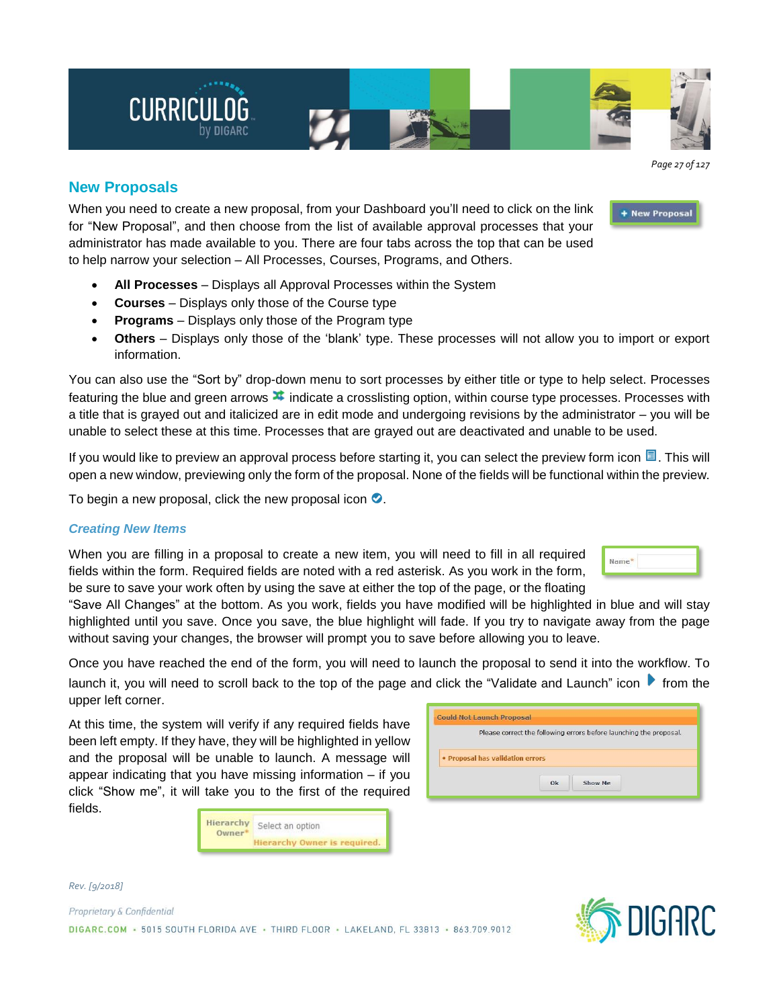

+ New Proposal

# **New Proposals**

When you need to create a new proposal, from your Dashboard you'll need to click on the link for "New Proposal", and then choose from the list of available approval processes that your administrator has made available to you. There are four tabs across the top that can be used to help narrow your selection – All Processes, Courses, Programs, and Others.

- **All Processes** Displays all Approval Processes within the System
- **Courses** Displays only those of the Course type
- **Programs** Displays only those of the Program type
- **Others** Displays only those of the 'blank' type. These processes will not allow you to import or export information.

You can also use the "Sort by" drop-down menu to sort processes by either title or type to help select. Processes featuring the blue and green arrows  $\blacktriangleright$  indicate a crosslisting option, within course type processes. Processes with a title that is grayed out and italicized are in edit mode and undergoing revisions by the administrator – you will be unable to select these at this time. Processes that are grayed out are deactivated and unable to be used.

If you would like to preview an approval process before starting it, you can select the preview form icon  $\Box$ . This will open a new window, previewing only the form of the proposal. None of the fields will be functional within the preview.

To begin a new proposal, click the new proposal icon  $\bullet$ .

# *Creating New Items*

When you are filling in a proposal to create a new item, you will need to fill in all required fields within the form. Required fields are noted with a red asterisk. As you work in the form, be sure to save your work often by using the save at either the top of the page, or the floating

"Save All Changes" at the bottom. As you work, fields you have modified will be highlighted in blue and will stay highlighted until you save. Once you save, the blue highlight will fade. If you try to navigate away from the page without saving your changes, the browser will prompt you to save before allowing you to leave.

Once you have reached the end of the form, you will need to launch the proposal to send it into the workflow. To launch it, you will need to scroll back to the top of the page and click the "Validate and Launch" icon **follom** the upper left corner.

At this time, the system will verify if any required fields have been left empty. If they have, they will be highlighted in yellow and the proposal will be unable to launch. A message will appear indicating that you have missing information – if you click "Show me", it will take you to the first of the required fields.

| Hierarchy<br>$0$ wner $*$ | Select an option             |
|---------------------------|------------------------------|
|                           | Hierarchy Owner is required. |

| Please correct the following errors before launching the proposal. |
|--------------------------------------------------------------------|
|                                                                    |
|                                                                    |
|                                                                    |
|                                                                    |
| · Proposal has validation errors                                   |
|                                                                    |
|                                                                    |



*Rev. [9/2018]*

Proprietary & Confidential DIGARC.COM - 5015 SOUTH FLORIDA AVE - THIRD FLOOR - LAKELAND, FL 33813 - 863.709.9012

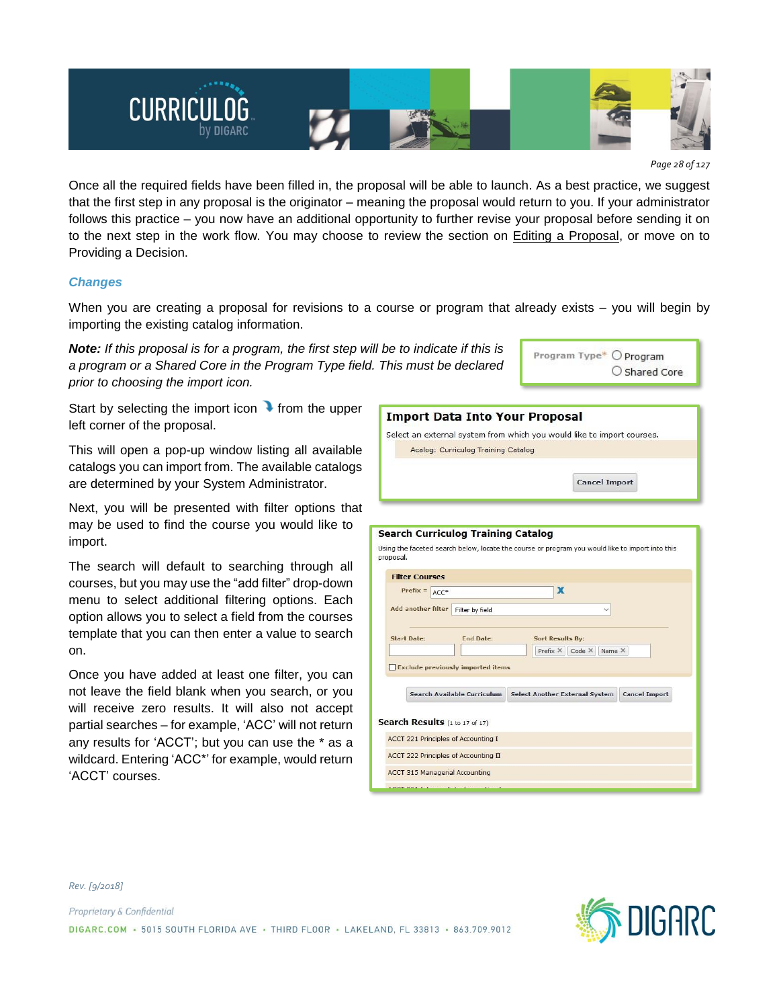

*Page 28 of 127*

Once all the required fields have been filled in, the proposal will be able to launch. As a best practice, we suggest that the first step in any proposal is the originator – meaning the proposal would return to you. If your administrator follows this practice – you now have an additional opportunity to further revise your proposal before sending it on to the next step in the work flow. You may choose to review the section on Editing a Proposal, or move on to Providing a Decision.

## *Changes*

*Rev. [9/2018]*

Proprietary & Confidential

When you are creating a proposal for revisions to a course or program that already exists – you will begin by importing the existing catalog information.

*Note: If this proposal is for a program, the first step will be to indicate if this is a program or a Shared Core in the Program Type field. This must be declared prior to choosing the import icon.*

Start by selecting the import icon  $\bullet$  from the upper left corner of the proposal.

This will open a pop-up window listing all available catalogs you can import from. The available catalogs are determined by your System Administrator.

Next, you will be presented with filter options that may be used to find the course you would like to import.

The search will default to searching through all courses, but you may use the "add filter" drop-down menu to select additional filtering options. Each option allows you to select a field from the courses template that you can then enter a value to search on.

Once you have added at least one filter, you can not leave the field blank when you search, or you will receive zero results. It will also not accept partial searches – for example, 'ACC' will not return any results for 'ACCT'; but you can use the \* as a wildcard. Entering 'ACC\*' for example, would return 'ACCT' courses.

| Import Data Into Your Proposal                                                                               |  |  |  |  |
|--------------------------------------------------------------------------------------------------------------|--|--|--|--|
| Select an external system from which you would like to import courses.                                       |  |  |  |  |
| Acalog: Curriculog Training Catalog                                                                          |  |  |  |  |
|                                                                                                              |  |  |  |  |
|                                                                                                              |  |  |  |  |
| <b>Cancel Import</b>                                                                                         |  |  |  |  |
|                                                                                                              |  |  |  |  |
|                                                                                                              |  |  |  |  |
| <b>Search Curriculog Training Catalog</b>                                                                    |  |  |  |  |
|                                                                                                              |  |  |  |  |
| Using the faceted search below, locate the course or program you would like to import into this<br>proposal. |  |  |  |  |
|                                                                                                              |  |  |  |  |
| <b>Filter Courses</b>                                                                                        |  |  |  |  |
| X<br>$Prefix =$<br>$ACC*$                                                                                    |  |  |  |  |
| <b>Add another filter</b><br>Filter by field                                                                 |  |  |  |  |
|                                                                                                              |  |  |  |  |
| <b>Start Date:</b><br><b>End Date:</b>                                                                       |  |  |  |  |
| <b>Sort Results By:</b>                                                                                      |  |  |  |  |
| Prefix X<br>Code X<br>Name X                                                                                 |  |  |  |  |
| <b>Exclude previously imported items</b>                                                                     |  |  |  |  |
|                                                                                                              |  |  |  |  |
| <b>Search Available Curriculum</b><br><b>Select Another External System</b><br><b>Cancel Import</b>          |  |  |  |  |
|                                                                                                              |  |  |  |  |
| Search Results (1 to 17 of 17)                                                                               |  |  |  |  |
| <b>ACCT 221 Principles of Accounting I</b>                                                                   |  |  |  |  |
|                                                                                                              |  |  |  |  |
| <b>ACCT 222 Principles of Accounting II</b>                                                                  |  |  |  |  |
| <b>ACCT 315 Managerial Accounting</b>                                                                        |  |  |  |  |
|                                                                                                              |  |  |  |  |

Program Type\* O Program

O Shared Core

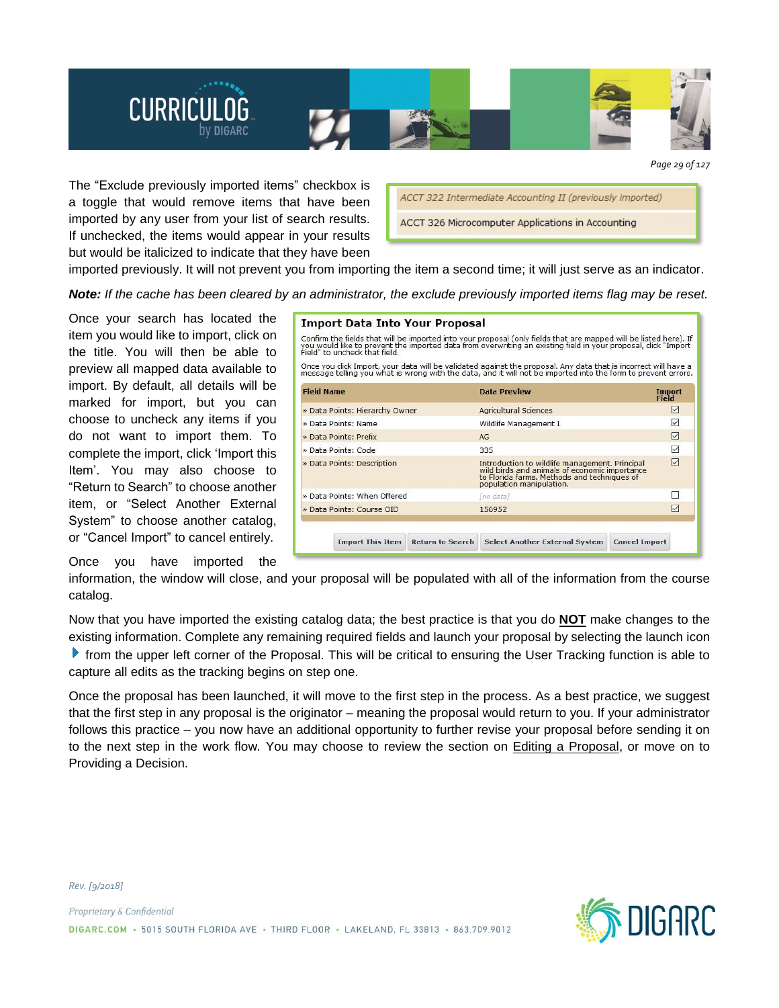

*Page 29 of 127*

The "Exclude previously imported items" checkbox is a toggle that would remove items that have been imported by any user from your list of search results. If unchecked, the items would appear in your results but would be italicized to indicate that they have been

| ACCT 322 Intermediate Accounting II (previously imported) |  |
|-----------------------------------------------------------|--|
| ACCT 326 Microcomputer Applications in Accounting         |  |

imported previously. It will not prevent you from importing the item a second time; it will just serve as an indicator.

Note: If the cache has been cleared by an administrator, the exclude previously imported items flag may be reset.

Once your search has located the item you would like to import, click on the title. You will then be able to preview all mapped data available to import. By default, all details will be marked for import, but you can choose to uncheck any items if you do not want to import them. To complete the import, click 'Import this Item'. You may also choose to "Return to Search" to choose another item, or "Select Another External System" to choose another catalog, or "Cancel Import" to cancel entirely.

## Once you have imported the

| <b>Import Data Into Your Proposal</b> |                         |                                                                                                                                                                                                                                     |                      |                               |
|---------------------------------------|-------------------------|-------------------------------------------------------------------------------------------------------------------------------------------------------------------------------------------------------------------------------------|----------------------|-------------------------------|
| Field" to uncheck that field.         |                         | Confirm the fields that will be imported into your proposal (only fields that are mapped will be listed here). If<br>you would like to prevent the imported data from overwriting an existing field in your proposal, click "Import |                      |                               |
|                                       |                         | Once you click Import, your data will be validated against the proposal. Any data that is incorrect will have a<br>message telling you what is wrong with the data, and it will not be imported into the form to prevent errors.    |                      |                               |
| <b>Field Name</b>                     |                         | Data Preview                                                                                                                                                                                                                        |                      | <b>Import</b><br><b>Field</b> |
| » Data Points: Hierarchy Owner        |                         | <b>Agricultural Sciences</b>                                                                                                                                                                                                        |                      | ☑                             |
| » Data Points: Name                   |                         | Wildlife Management I                                                                                                                                                                                                               |                      | ▽                             |
| » Data Points: Prefix                 |                         | AG                                                                                                                                                                                                                                  |                      | ☑                             |
| » Data Points: Code                   |                         | 335                                                                                                                                                                                                                                 |                      | ✓                             |
| » Data Points: Description            |                         | Introduction to wildlife management. Principal<br>wild birds and animals of economic importance<br>to Florida farms. Methods and techniques of<br>population manipulation.                                                          |                      | 罓                             |
| » Data Points: When Offered           |                         | [no data]                                                                                                                                                                                                                           |                      |                               |
| » Data Points: Course OID             |                         | 156952                                                                                                                                                                                                                              |                      | ☑                             |
| <b>Import This Item</b>               | <b>Return to Search</b> | <b>Select Another External System</b>                                                                                                                                                                                               | <b>Cancel Import</b> |                               |

information, the window will close, and your proposal will be populated with all of the information from the course catalog.

Now that you have imported the existing catalog data; the best practice is that you do **NOT** make changes to the existing information. Complete any remaining required fields and launch your proposal by selecting the launch icon **F** from the upper left corner of the Proposal. This will be critical to ensuring the User Tracking function is able to capture all edits as the tracking begins on step one.

Once the proposal has been launched, it will move to the first step in the process. As a best practice, we suggest that the first step in any proposal is the originator – meaning the proposal would return to you. If your administrator follows this practice – you now have an additional opportunity to further revise your proposal before sending it on to the next step in the work flow. You may choose to review the section on Editing a Proposal, or move on to Providing a Decision.

Proprietary & Confidential

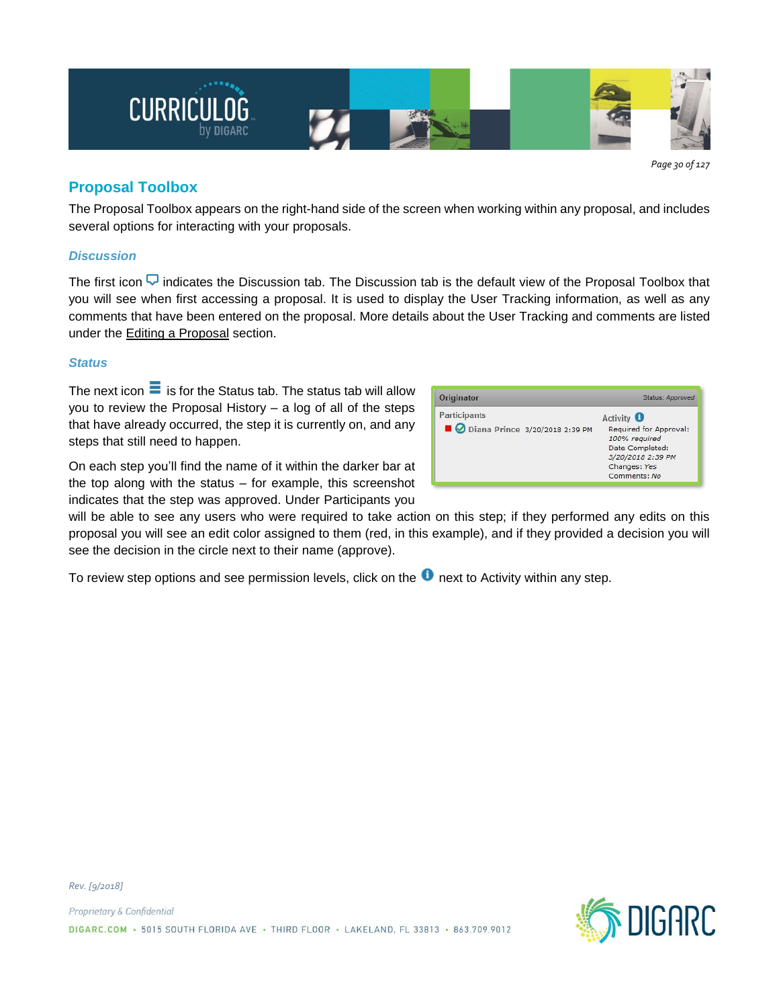

*Page 30 of 127*

# **Proposal Toolbox**

The Proposal Toolbox appears on the right-hand side of the screen when working within any proposal, and includes several options for interacting with your proposals.

# *Discussion*

The first icon  $\overline{\mathbf{v}}$  indicates the Discussion tab. The Discussion tab is the default view of the Proposal Toolbox that you will see when first accessing a proposal. It is used to display the User Tracking information, as well as any comments that have been entered on the proposal. More details about the User Tracking and comments are listed under the Editing a Proposal section.

# *Status*

The next icon  $\equiv$  is for the Status tab. The status tab will allow you to review the Proposal History – a log of all of the steps that have already occurred, the step it is currently on, and any steps that still need to happen.

On each step you'll find the name of it within the darker bar at the top along with the status – for example, this screenshot indicates that the step was approved. Under Participants you

will be able to see any users who were required to take action on this step; if they performed any edits on this proposal you will see an edit color assigned to them (red, in this example), and if they provided a decision you will see the decision in the circle next to their name (approve).

To review step options and see permission levels, click on the  $\bullet$  next to Activity within any step.

| Originator                     | Status: Approved                                                                                                |
|--------------------------------|-----------------------------------------------------------------------------------------------------------------|
| Participants                   | Activity <b>O</b>                                                                                               |
| Diana Prince 3/20/2018 2:39 PM | Required for Approval:<br>100% required<br>Date Completed:<br>3/20/2018 2:39 PM<br>Changes: Yes<br>Comments: No |

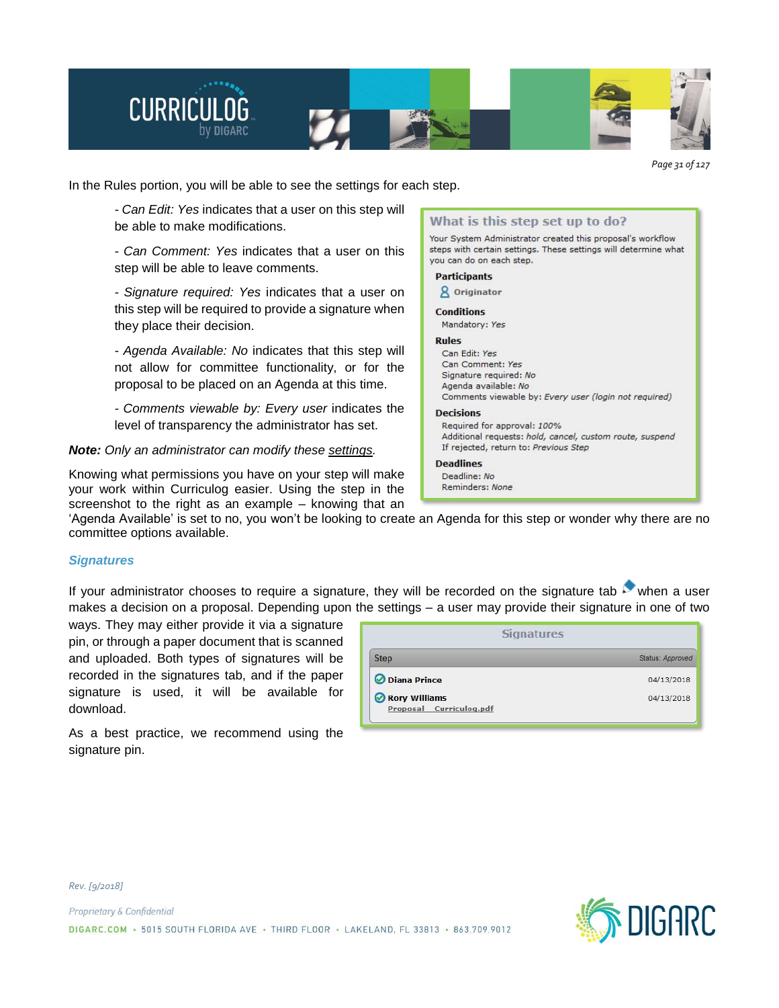

*Page 31 of 127*

In the Rules portion, you will be able to see the settings for each step.

*- Can Edit: Yes* indicates that a user on this step will be able to make modifications.

*- Can Comment: Yes* indicates that a user on this step will be able to leave comments.

*- Signature required: Yes* indicates that a user on this step will be required to provide a signature when they place their decision.

*- Agenda Available: No* indicates that this step will not allow for committee functionality, or for the proposal to be placed on an Agenda at this time.

*- Comments viewable by: Every user* indicates the level of transparency the administrator has set.

*Note: Only an administrator can modify these settings.*

Knowing what permissions you have on your step will make your work within Curriculog easier. Using the step in the screenshot to the right as an example – knowing that an



'Agenda Available' is set to no, you won't be looking to create an Agenda for this step or wonder why there are no committee options available.

## *Signatures*

If your administrator chooses to require a signature, they will be recorded on the signature tab when a user makes a decision on a proposal. Depending upon the settings – a user may provide their signature in one of two

ways. They may either provide it via a signature pin, or through a paper document that is scanned and uploaded. Both types of signatures will be recorded in the signatures tab, and if the paper signature is used, it will be available for download.

| <b>Step</b>   | Status: Approved |
|---------------|------------------|
| Diana Prince  | 04/13/2018       |
| Rory Williams | 04/13/2018       |

As a best practice, we recommend using the signature pin.

*Rev. [9/2018]*



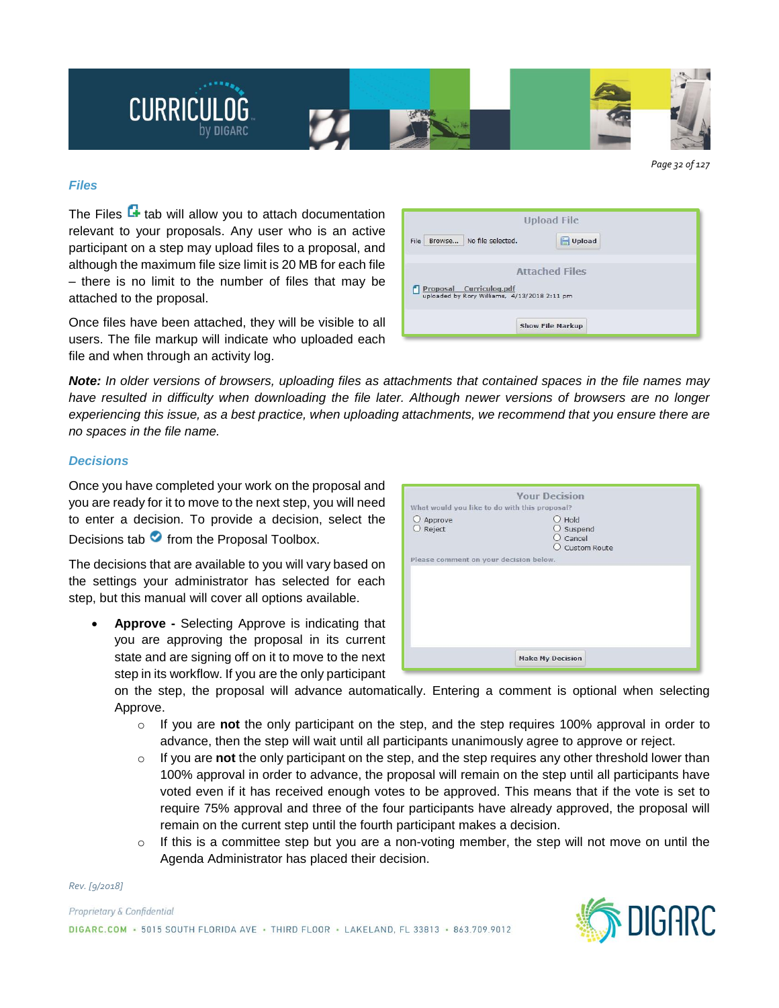

#### *Page 32 of 127*

#### *Files*

The Files  $\mathbf{F}$  tab will allow you to attach documentation relevant to your proposals. Any user who is an active participant on a step may upload files to a proposal, and although the maximum file size limit is 20 MB for each file – there is no limit to the number of files that may be attached to the proposal.

Once files have been attached, they will be visible to all users. The file markup will indicate who uploaded each file and when through an activity log.

|                                                                         | <b>Upload File</b>      |
|-------------------------------------------------------------------------|-------------------------|
| No file selected.<br>Browse<br>File                                     | Upload                  |
| Proposal Curriculog.pdf<br>uploaded by Rory Williams, 4/13/2018 2:11 pm | <b>Attached Files</b>   |
|                                                                         | <b>Show File Markup</b> |

Note: In older versions of browsers, uploading files as attachments that contained spaces in the file names may have resulted in difficulty when downloading the file later. Although newer versions of browsers are no longer experiencing this issue, as a best practice, when uploading attachments, we recommend that you ensure there are *no spaces in the file name.*

## *Decisions*

Once you have completed your work on the proposal and you are ready for it to move to the next step, you will need to enter a decision. To provide a decision, select the Decisions tab  $\bullet$  from the Proposal Toolbox.

The decisions that are available to you will vary based on the settings your administrator has selected for each step, but this manual will cover all options available.

• **Approve -** Selecting Approve is indicating that you are approving the proposal in its current state and are signing off on it to move to the next step in its workflow. If you are the only participant

|                                               | <b>Your Decision</b>                                    |  |
|-----------------------------------------------|---------------------------------------------------------|--|
| What would you like to do with this proposal? |                                                         |  |
| $O$ Approve<br>O Reject                       | $O$ Hold<br>$O$ Suspend<br>$O$ Cancel<br>O Custom Route |  |
| Please comment on your decision below.        |                                                         |  |
|                                               |                                                         |  |
|                                               | <b>Make My Decision</b>                                 |  |

on the step, the proposal will advance automatically. Entering a comment is optional when selecting Approve.

- o If you are **not** the only participant on the step, and the step requires 100% approval in order to advance, then the step will wait until all participants unanimously agree to approve or reject.
- o If you are **not** the only participant on the step, and the step requires any other threshold lower than 100% approval in order to advance, the proposal will remain on the step until all participants have voted even if it has received enough votes to be approved. This means that if the vote is set to require 75% approval and three of the four participants have already approved, the proposal will remain on the current step until the fourth participant makes a decision.
- $\circ$  If this is a committee step but you are a non-voting member, the step will not move on until the Agenda Administrator has placed their decision.

*Rev. [9/2018]*